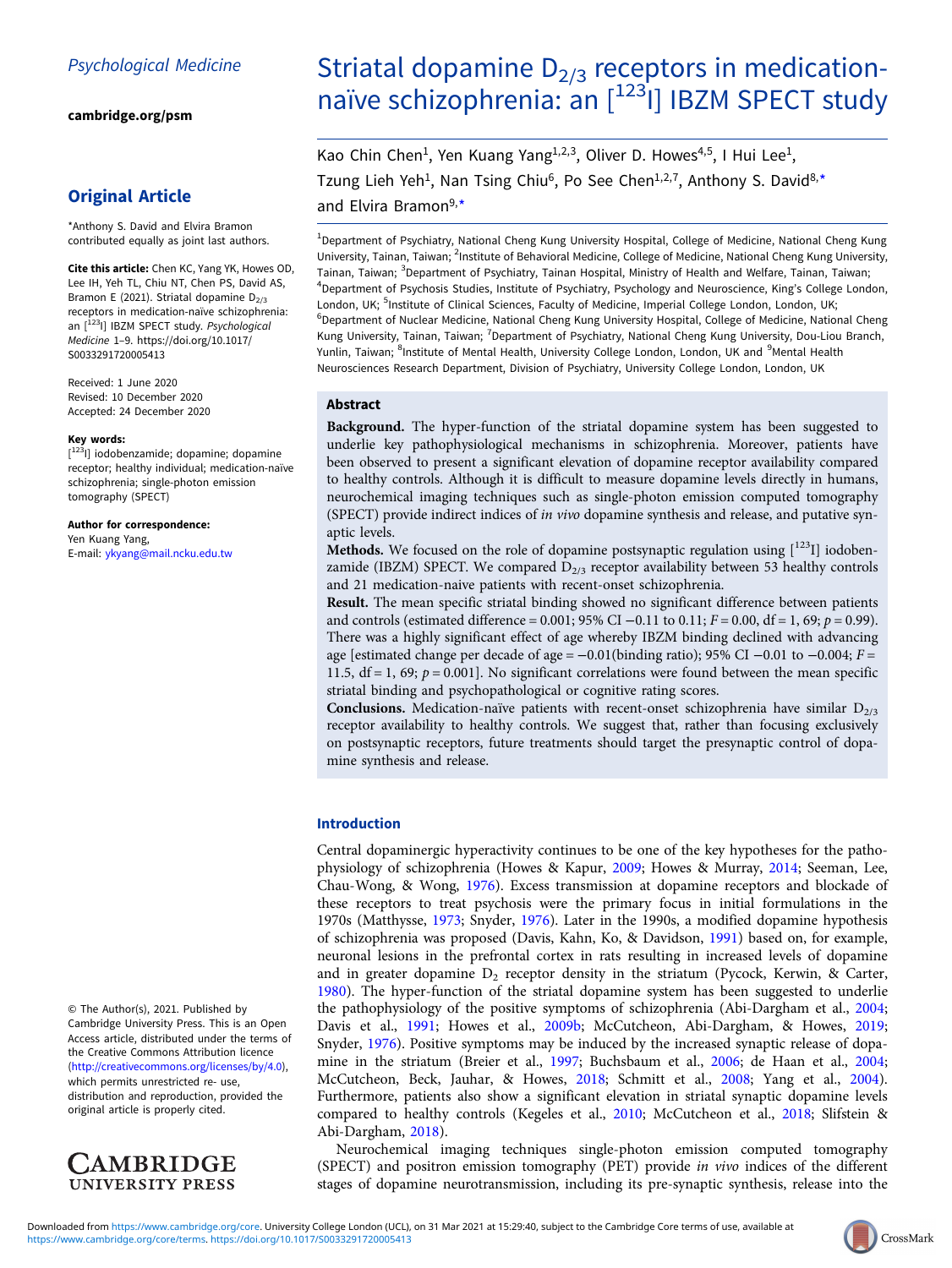[cambridge.org/psm](https://www.cambridge.org/psm)

## Original Article

\*Anthony S. David and Elvira Bramon contributed equally as joint last authors.

Cite this article: Chen KC, Yang YK, Howes OD, Lee IH, Yeh TL, Chiu NT, Chen PS, David AS, Bramon E (2021). Striatal dopamine  $D_{2/3}$ receptors in medication-naïve schizophrenia: an  $[$ <sup>123</sup>I] IBZM SPECT study. Psychological Medicine 1–9. [https://doi.org/10.1017/](https://doi.org/10.1017/S0033291720005413) [S0033291720005413](https://doi.org/10.1017/S0033291720005413)

Received: 1 June 2020 Revised: 10 December 2020 Accepted: 24 December 2020

#### Key words:

[<sup>123</sup>l] iodobenzamide; dopamine; dopamine receptor; healthy individual; medication-naïve schizophrenia; single-photon emission tomography (SPECT)

Author for correspondence: Yen Kuang Yang, E-mail: [ykyang@mail.ncku.edu.tw](mailto:ykyang@mail.ncku.edu.tw)

© The Author(s), 2021. Published by Cambridge University Press. This is an Open Access article, distributed under the terms of the Creative Commons Attribution licence (<http://creativecommons.org/licenses/by/4.0>), which permits unrestricted re- use, distribution and reproduction, provided the original article is properly cited.



# Striatal dopamine  $D_{2/3}$  receptors in medicationnaïve schizophrenia: an [<sup>123</sup>I] IBZM SPECT study

Kao Chin Chen<sup>1</sup>, Yen Kuang Yang<sup>1,2,3</sup>, Oliver D. Howes<sup>4,5</sup>, I Hui Lee<sup>1</sup>, Tzung Lieh Yeh<sup>1</sup>, Nan Tsing Chiu<sup>6</sup>, Po See Chen<sup>1,2,7</sup>, Anthony S. David<sup>8,\*</sup> and Elvira Bramon<sup>9,\*</sup>

<sup>1</sup>Department of Psychiatry, National Cheng Kung University Hospital, College of Medicine, National Cheng Kung University, Tainan, Taiwan; <sup>2</sup>Institute of Behavioral Medicine, College of Medicine, National Cheng Kung University, Tainan, Taiwan; <sup>3</sup>Department of Psychiatry, Tainan Hospital, Ministry of Health and Welfare, Tainan, Taiwan; 4 Department of Psychosis Studies, Institute of Psychiatry, Psychology and Neuroscience, King's College London, London, UK; <sup>5</sup>Institute of Clinical Sciences, Faculty of Medicine, Imperial College London, London, UK; <sup>6</sup>Department of Nuclear Medicine, National Cheng Kung University Hospital, College of Medicine, National Cheng Kung University, Tainan, Taiwan; <sup>7</sup>Department of Psychiatry, National Cheng Kung University, Dou-Liou Branch, Yunlin, Taiwan; <sup>8</sup>Institute of Mental Health, University College London, London, UK and <sup>9</sup>Mental Health Neurosciences Research Department, Division of Psychiatry, University College London, London, UK

## Abstract

Background. The hyper-function of the striatal dopamine system has been suggested to underlie key pathophysiological mechanisms in schizophrenia. Moreover, patients have been observed to present a significant elevation of dopamine receptor availability compared to healthy controls. Although it is difficult to measure dopamine levels directly in humans, neurochemical imaging techniques such as single-photon emission computed tomography (SPECT) provide indirect indices of in vivo dopamine synthesis and release, and putative synaptic levels.

**Methods.** We focused on the role of dopamine postsynaptic regulation using  $\left[1^{23}I\right]$  iodobenzamide (IBZM) SPECT. We compared  $D_{2/3}$  receptor availability between 53 healthy controls and 21 medication-naive patients with recent-onset schizophrenia.

Result. The mean specific striatal binding showed no significant difference between patients and controls (estimated difference = 0.001; 95% CI –0.11 to 0.11;  $F = 0.00$ ,  $df = 1$ , 69;  $p = 0.99$ ). There was a highly significant effect of age whereby IBZM binding declined with advancing age [estimated change per decade of age =  $-0.01$ (binding ratio); 95% CI  $-0.01$  to  $-0.004$ ; F = 11.5,  $df = 1$ , 69;  $p = 0.001$ ]. No significant correlations were found between the mean specific striatal binding and psychopathological or cognitive rating scores.

Conclusions. Medication-naïve patients with recent-onset schizophrenia have similar  $D_{2/3}$ receptor availability to healthy controls. We suggest that, rather than focusing exclusively on postsynaptic receptors, future treatments should target the presynaptic control of dopamine synthesis and release.

## Introduction

Central dopaminergic hyperactivity continues to be one of the key hypotheses for the pathophysiology of schizophrenia (Howes & Kapur, [2009](#page-7-0); Howes & Murray, [2014](#page-7-0); Seeman, Lee, Chau-Wong, & Wong, [1976\)](#page-8-0). Excess transmission at dopamine receptors and blockade of these receptors to treat psychosis were the primary focus in initial formulations in the 1970s (Matthysse, [1973;](#page-7-0) Snyder, [1976](#page-8-0)). Later in the 1990s, a modified dopamine hypothesis of schizophrenia was proposed (Davis, Kahn, Ko, & Davidson, [1991\)](#page-6-0) based on, for example, neuronal lesions in the prefrontal cortex in rats resulting in increased levels of dopamine and in greater dopamine  $D_2$  receptor density in the striatum (Pycock, Kerwin, & Carter, [1980\)](#page-7-0). The hyper-function of the striatal dopamine system has been suggested to underlie the pathophysiology of the positive symptoms of schizophrenia (Abi-Dargham et al., [2004](#page-6-0); Davis et al., [1991;](#page-6-0) Howes et al., [2009b;](#page-7-0) McCutcheon, Abi-Dargham, & Howes, [2019](#page-7-0); Snyder, [1976](#page-8-0)). Positive symptoms may be induced by the increased synaptic release of dopamine in the striatum (Breier et al., [1997](#page-6-0); Buchsbaum et al., [2006](#page-6-0); de Haan et al., [2004](#page-6-0); McCutcheon, Beck, Jauhar, & Howes, [2018;](#page-7-0) Schmitt et al., [2008;](#page-8-0) Yang et al., [2004](#page-8-0)). Furthermore, patients also show a significant elevation in striatal synaptic dopamine levels compared to healthy controls (Kegeles et al., [2010](#page-7-0); McCutcheon et al., [2018;](#page-7-0) Slifstein & Abi-Dargham, [2018\)](#page-8-0).

Neurochemical imaging techniques single-photon emission computed tomography (SPECT) and positron emission tomography (PET) provide in vivo indices of the different stages of dopamine neurotransmission, including its pre-synaptic synthesis, release into the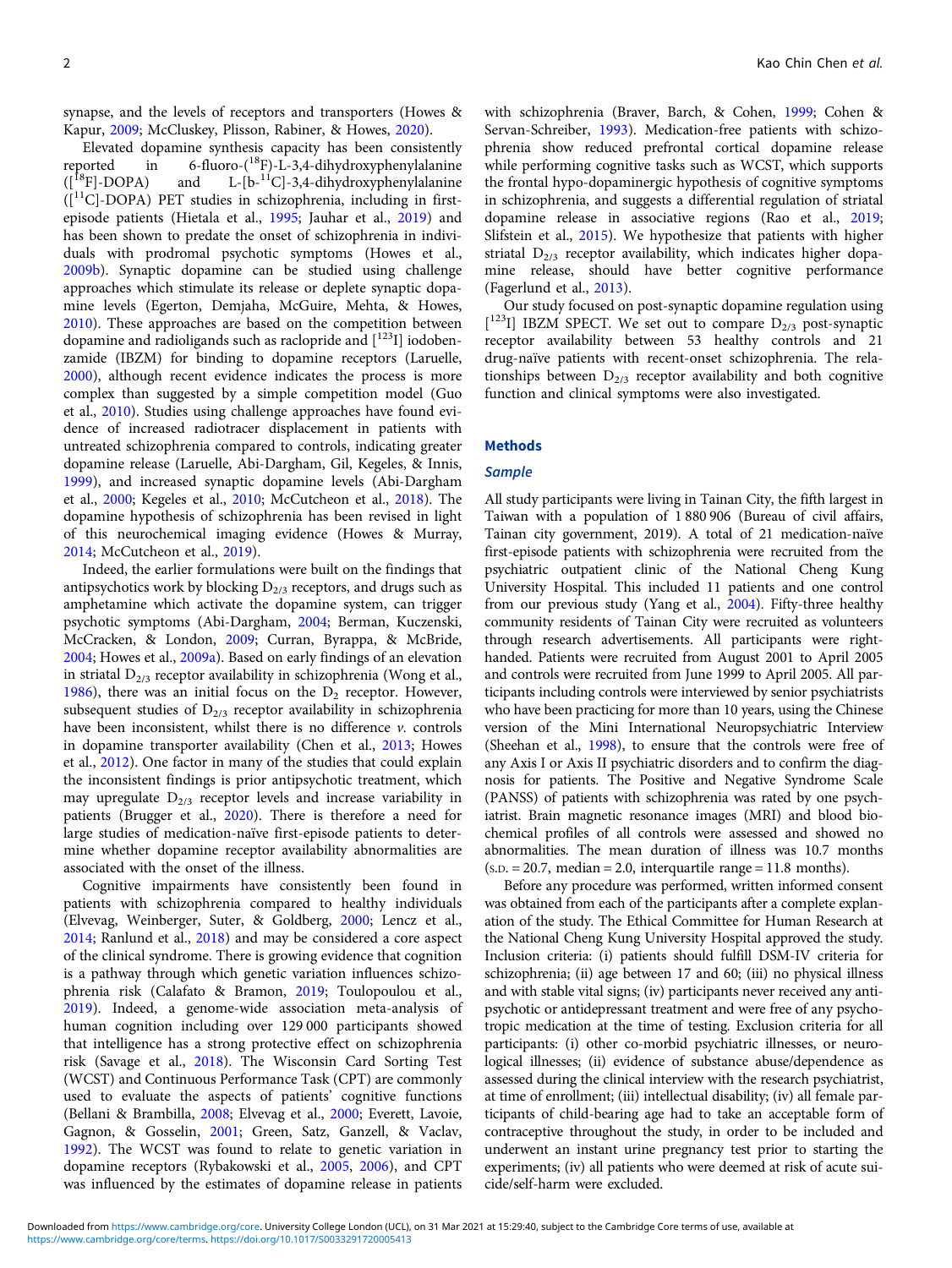synapse, and the levels of receptors and transporters (Howes & Kapur, [2009](#page-7-0); McCluskey, Plisson, Rabiner, & Howes, [2020\)](#page-7-0).

Elevated dopamine synthesis capacity has been consistently reported in  $6\text{-fluoro-}({}^{18}F)-L-3,4-\text{dihydroxyohenvlalanine})$ reported in 6-fluoro- $({}^{18}F)$ -L-3,4-dihydroxyphenylalanine<br> $({}^{18}F]$ -DOPA) and L-[b-<sup>11</sup>C]-3,4-dihydroxyphenylalanine and  $L-[b-11C]-3,4-dihydroxyphenylalanine$  $([11C]$ -DOPA) PET studies in schizophrenia, including in firstepisode patients (Hietala et al., [1995;](#page-7-0) Jauhar et al., [2019](#page-7-0)) and has been shown to predate the onset of schizophrenia in individuals with prodromal psychotic symptoms (Howes et al., [2009b\)](#page-7-0). Synaptic dopamine can be studied using challenge approaches which stimulate its release or deplete synaptic dopamine levels (Egerton, Demjaha, McGuire, Mehta, & Howes, [2010\)](#page-7-0). These approaches are based on the competition between dopamine and radioligands such as raclopride and  $[123]$  iodobenzamide (IBZM) for binding to dopamine receptors (Laruelle, [2000\)](#page-7-0), although recent evidence indicates the process is more complex than suggested by a simple competition model (Guo et al., [2010\)](#page-7-0). Studies using challenge approaches have found evidence of increased radiotracer displacement in patients with untreated schizophrenia compared to controls, indicating greater dopamine release (Laruelle, Abi-Dargham, Gil, Kegeles, & Innis, [1999\)](#page-7-0), and increased synaptic dopamine levels (Abi-Dargham et al., [2000;](#page-6-0) Kegeles et al., [2010;](#page-7-0) McCutcheon et al., [2018](#page-7-0)). The dopamine hypothesis of schizophrenia has been revised in light of this neurochemical imaging evidence (Howes & Murray, [2014;](#page-7-0) McCutcheon et al., [2019\)](#page-7-0).

Indeed, the earlier formulations were built on the findings that antipsychotics work by blocking  $D_{2/3}$  receptors, and drugs such as amphetamine which activate the dopamine system, can trigger psychotic symptoms (Abi-Dargham, [2004;](#page-6-0) Berman, Kuczenski, McCracken, & London, [2009](#page-6-0); Curran, Byrappa, & McBride, [2004;](#page-6-0) Howes et al., [2009a](#page-7-0)). Based on early findings of an elevation in striatal  $D_{2/3}$  receptor availability in schizophrenia (Wong et al., [1986\)](#page-8-0), there was an initial focus on the  $D_2$  receptor. However, subsequent studies of  $D_{2/3}$  receptor availability in schizophrenia have been inconsistent, whilst there is no difference  $\nu$ . controls in dopamine transporter availability (Chen et al., [2013](#page-6-0); Howes et al., [2012](#page-7-0)). One factor in many of the studies that could explain the inconsistent findings is prior antipsychotic treatment, which may upregulate  $D_{2/3}$  receptor levels and increase variability in patients (Brugger et al., [2020\)](#page-6-0). There is therefore a need for large studies of medication-naïve first-episode patients to determine whether dopamine receptor availability abnormalities are associated with the onset of the illness.

Cognitive impairments have consistently been found in patients with schizophrenia compared to healthy individuals (Elvevag, Weinberger, Suter, & Goldberg, [2000](#page-7-0); Lencz et al., [2014;](#page-7-0) Ranlund et al., [2018\)](#page-7-0) and may be considered a core aspect of the clinical syndrome. There is growing evidence that cognition is a pathway through which genetic variation influences schizophrenia risk (Calafato & Bramon, [2019](#page-6-0); Toulopoulou et al., [2019\)](#page-8-0). Indeed, a genome-wide association meta-analysis of human cognition including over 129 000 participants showed that intelligence has a strong protective effect on schizophrenia risk (Savage et al., [2018\)](#page-8-0). The Wisconsin Card Sorting Test (WCST) and Continuous Performance Task (CPT) are commonly used to evaluate the aspects of patients' cognitive functions (Bellani & Brambilla, [2008;](#page-6-0) Elvevag et al., [2000;](#page-7-0) Everett, Lavoie, Gagnon, & Gosselin, [2001;](#page-7-0) Green, Satz, Ganzell, & Vaclav, [1992\)](#page-7-0). The WCST was found to relate to genetic variation in dopamine receptors (Rybakowski et al., [2005,](#page-8-0) [2006](#page-8-0)), and CPT was influenced by the estimates of dopamine release in patients

with schizophrenia (Braver, Barch, & Cohen, [1999;](#page-6-0) Cohen & Servan-Schreiber, [1993](#page-6-0)). Medication-free patients with schizophrenia show reduced prefrontal cortical dopamine release while performing cognitive tasks such as WCST, which supports the frontal hypo-dopaminergic hypothesis of cognitive symptoms in schizophrenia, and suggests a differential regulation of striatal dopamine release in associative regions (Rao et al., [2019;](#page-7-0) Slifstein et al., [2015\)](#page-8-0). We hypothesize that patients with higher striatal  $D_{2/3}$  receptor availability, which indicates higher dopamine release, should have better cognitive performance (Fagerlund et al., [2013\)](#page-7-0).

Our study focused on post-synaptic dopamine regulation using [<sup>123</sup>I] IBZM SPECT. We set out to compare D<sub>2/3</sub> post-synaptic receptor availability between 53 healthy controls and 21 drug-naïve patients with recent-onset schizophrenia. The relationships between  $D_{2/3}$  receptor availability and both cognitive function and clinical symptoms were also investigated.

#### Methods

### **Sample**

All study participants were living in Tainan City, the fifth largest in Taiwan with a population of 1 880 906 (Bureau of civil affairs, Tainan city government, 2019). A total of 21 medication-naïve first-episode patients with schizophrenia were recruited from the psychiatric outpatient clinic of the National Cheng Kung University Hospital. This included 11 patients and one control from our previous study (Yang et al., [2004\)](#page-8-0). Fifty-three healthy community residents of Tainan City were recruited as volunteers through research advertisements. All participants were righthanded. Patients were recruited from August 2001 to April 2005 and controls were recruited from June 1999 to April 2005. All participants including controls were interviewed by senior psychiatrists who have been practicing for more than 10 years, using the Chinese version of the Mini International Neuropsychiatric Interview (Sheehan et al., [1998\)](#page-8-0), to ensure that the controls were free of any Axis I or Axis II psychiatric disorders and to confirm the diagnosis for patients. The Positive and Negative Syndrome Scale (PANSS) of patients with schizophrenia was rated by one psychiatrist. Brain magnetic resonance images (MRI) and blood biochemical profiles of all controls were assessed and showed no abnormalities. The mean duration of illness was 10.7 months  $(S.D. = 20.7, median = 2.0, interquartile range = 11.8 months).$ 

Before any procedure was performed, written informed consent was obtained from each of the participants after a complete explanation of the study. The Ethical Committee for Human Research at the National Cheng Kung University Hospital approved the study. Inclusion criteria: (i) patients should fulfill DSM-IV criteria for schizophrenia; (ii) age between 17 and 60; (iii) no physical illness and with stable vital signs; (iv) participants never received any antipsychotic or antidepressant treatment and were free of any psychotropic medication at the time of testing. Exclusion criteria for all participants: (i) other co-morbid psychiatric illnesses, or neurological illnesses; (ii) evidence of substance abuse/dependence as assessed during the clinical interview with the research psychiatrist, at time of enrollment; (iii) intellectual disability; (iv) all female participants of child-bearing age had to take an acceptable form of contraceptive throughout the study, in order to be included and underwent an instant urine pregnancy test prior to starting the experiments; (iv) all patients who were deemed at risk of acute suicide/self-harm were excluded.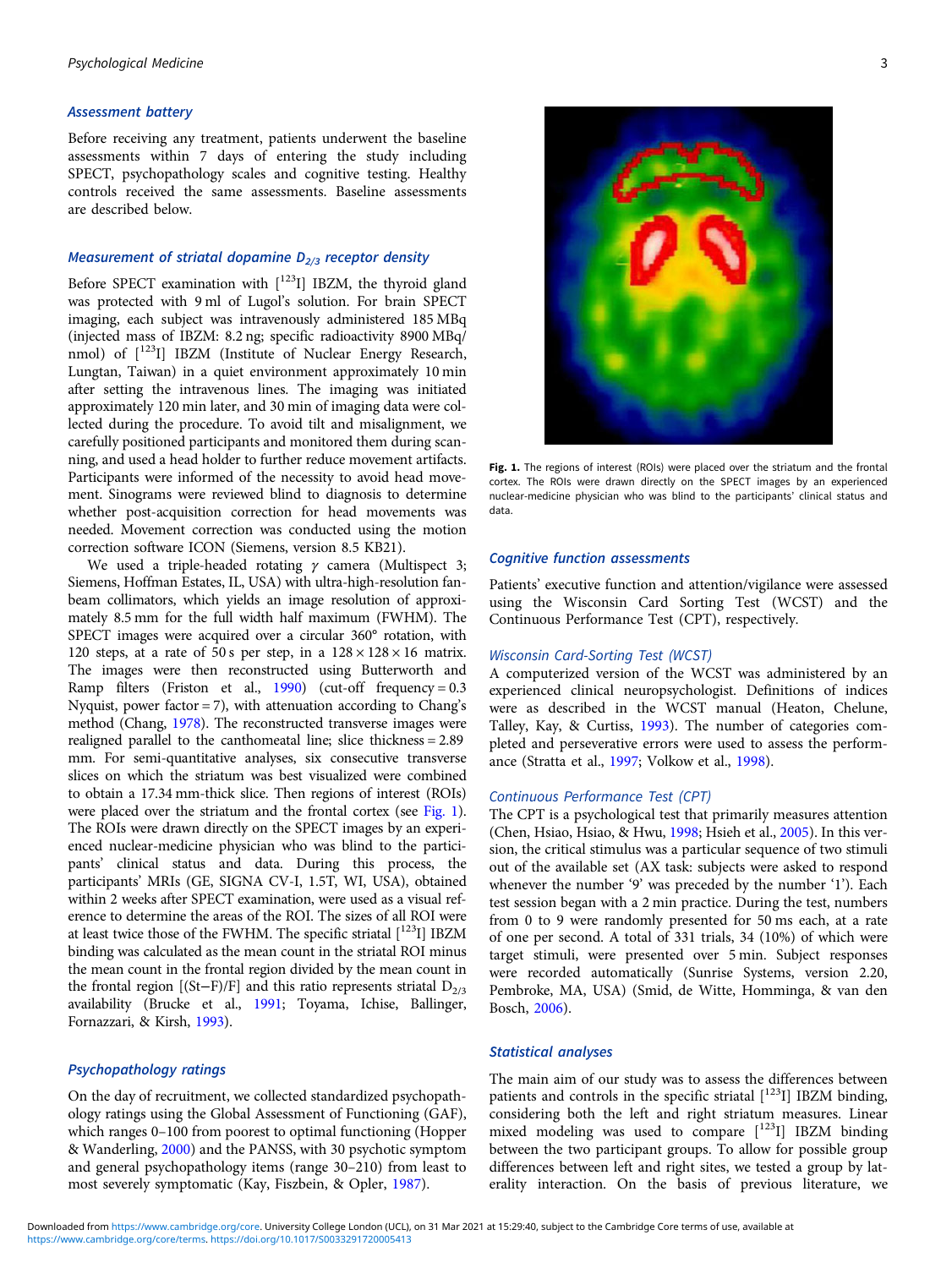#### Assessment battery

Before receiving any treatment, patients underwent the baseline assessments within 7 days of entering the study including SPECT, psychopathology scales and cognitive testing. Healthy controls received the same assessments. Baseline assessments are described below.

#### Measurement of striatal dopamine  $D_{2/3}$  receptor density

Before SPECT examination with  $[123]$  IBZM, the thyroid gland was protected with 9 ml of Lugol's solution. For brain SPECT imaging, each subject was intravenously administered 185 MBq (injected mass of IBZM: 8.2 ng; specific radioactivity 8900 MBq/ nmol) of  $[^{123}I]$  IBZM (Institute of Nuclear Energy Research, Lungtan, Taiwan) in a quiet environment approximately 10 min after setting the intravenous lines. The imaging was initiated approximately 120 min later, and 30 min of imaging data were collected during the procedure. To avoid tilt and misalignment, we carefully positioned participants and monitored them during scanning, and used a head holder to further reduce movement artifacts. Participants were informed of the necessity to avoid head movement. Sinograms were reviewed blind to diagnosis to determine whether post-acquisition correction for head movements was needed. Movement correction was conducted using the motion correction software ICON (Siemens, version 8.5 KB21).

We used a triple-headed rotating  $\gamma$  camera (Multispect 3; Siemens, Hoffman Estates, IL, USA) with ultra-high-resolution fanbeam collimators, which yields an image resolution of approximately 8.5 mm for the full width half maximum (FWHM). The SPECT images were acquired over a circular 360° rotation, with 120 steps, at a rate of 50 s per step, in a  $128 \times 128 \times 16$  matrix. The images were then reconstructed using Butterworth and Ramp filters (Friston et al., [1990\)](#page-7-0) (cut-off frequency =  $0.3$ Nyquist, power factor  $= 7$ ), with attenuation according to Chang's method (Chang, [1978\)](#page-6-0). The reconstructed transverse images were realigned parallel to the canthomeatal line; slice thickness = 2.89 mm. For semi-quantitative analyses, six consecutive transverse slices on which the striatum was best visualized were combined to obtain a 17.34 mm-thick slice. Then regions of interest (ROIs) were placed over the striatum and the frontal cortex (see Fig. 1). The ROIs were drawn directly on the SPECT images by an experienced nuclear-medicine physician who was blind to the participants' clinical status and data. During this process, the participants' MRIs (GE, SIGNA CV-I, 1.5T, WI, USA), obtained within 2 weeks after SPECT examination, were used as a visual reference to determine the areas of the ROI. The sizes of all ROI were at least twice those of the FWHM. The specific striatal  $[123]$  IBZM binding was calculated as the mean count in the striatal ROI minus the mean count in the frontal region divided by the mean count in the frontal region [(St–F)/F] and this ratio represents striatal  $D_{2/3}$ availability (Brucke et al., [1991](#page-6-0); Toyama, Ichise, Ballinger, Fornazzari, & Kirsh, [1993](#page-8-0)).

## Psychopathology ratings

On the day of recruitment, we collected standardized psychopathology ratings using the Global Assessment of Functioning (GAF), which ranges 0–100 from poorest to optimal functioning (Hopper & Wanderling, [2000](#page-7-0)) and the PANSS, with 30 psychotic symptom and general psychopathology items (range 30–210) from least to most severely symptomatic (Kay, Fiszbein, & Opler, [1987\)](#page-7-0).



Fig. 1. The regions of interest (ROIs) were placed over the striatum and the frontal cortex. The ROIs were drawn directly on the SPECT images by an experienced nuclear-medicine physician who was blind to the participants' clinical status and data.

## Cognitive function assessments

Patients' executive function and attention/vigilance were assessed using the Wisconsin Card Sorting Test (WCST) and the Continuous Performance Test (CPT), respectively.

## Wisconsin Card-Sorting Test (WCST)

A computerized version of the WCST was administered by an experienced clinical neuropsychologist. Definitions of indices were as described in the WCST manual (Heaton, Chelune, Talley, Kay, & Curtiss, [1993\)](#page-7-0). The number of categories completed and perseverative errors were used to assess the performance (Stratta et al., [1997;](#page-8-0) Volkow et al., [1998\)](#page-8-0).

## Continuous Performance Test (CPT)

The CPT is a psychological test that primarily measures attention (Chen, Hsiao, Hsiao, & Hwu, [1998](#page-6-0); Hsieh et al., [2005](#page-7-0)). In this version, the critical stimulus was a particular sequence of two stimuli out of the available set (AX task: subjects were asked to respond whenever the number '9' was preceded by the number '1'). Each test session began with a 2 min practice. During the test, numbers from 0 to 9 were randomly presented for 50 ms each, at a rate of one per second. A total of 331 trials, 34 (10%) of which were target stimuli, were presented over 5 min. Subject responses were recorded automatically (Sunrise Systems, version 2.20, Pembroke, MA, USA) (Smid, de Witte, Homminga, & van den Bosch, [2006](#page-8-0)).

## Statistical analyses

The main aim of our study was to assess the differences between patients and controls in the specific striatal  $[123]$  IBZM binding, considering both the left and right striatum measures. Linear mixed modeling was used to compare  $[$ <sup>123</sup>I] IBZM binding between the two participant groups. To allow for possible group differences between left and right sites, we tested a group by laterality interaction. On the basis of previous literature, we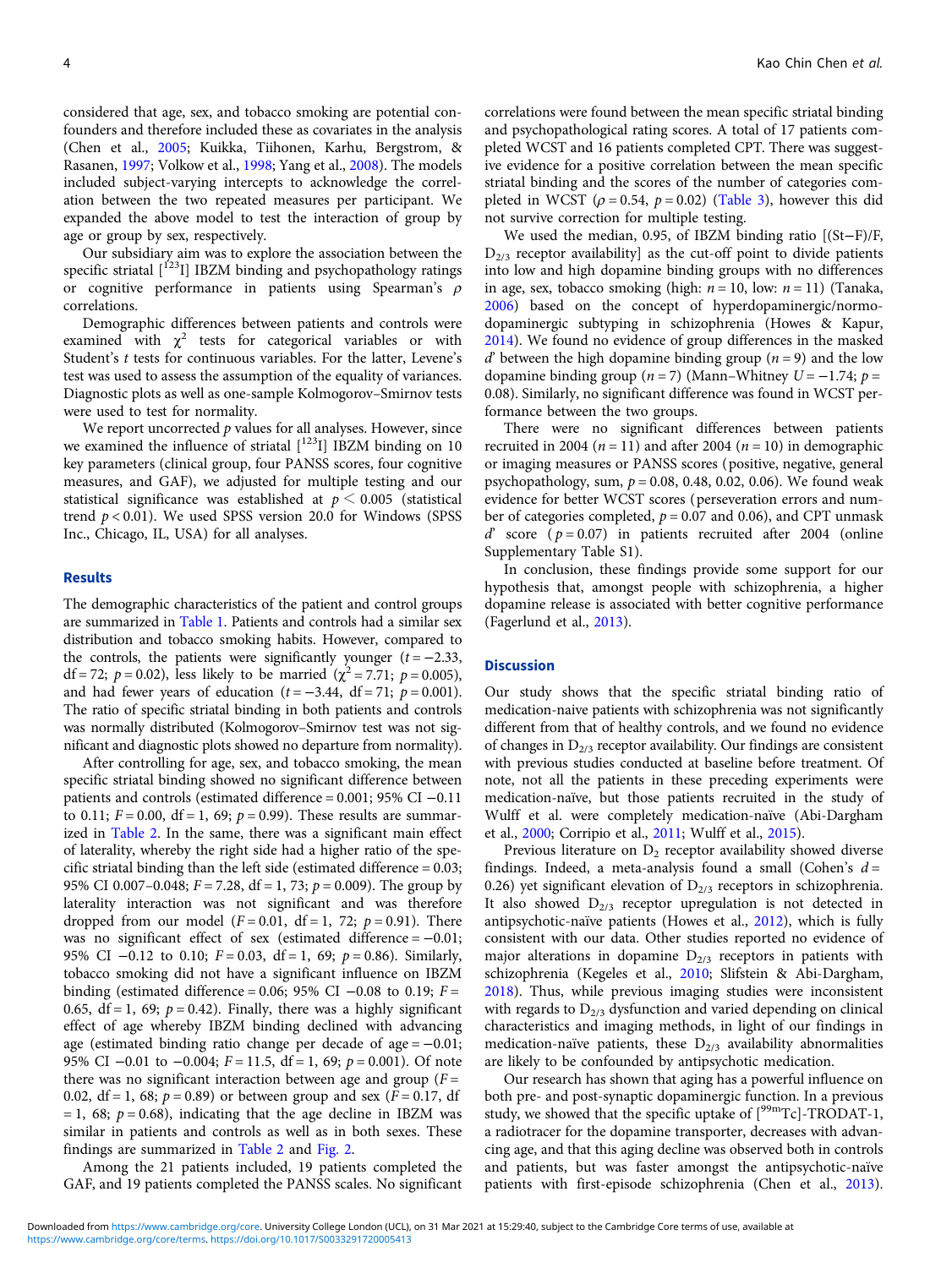considered that age, sex, and tobacco smoking are potential confounders and therefore included these as covariates in the analysis (Chen et al., [2005;](#page-6-0) Kuikka, Tiihonen, Karhu, Bergstrom, & Rasanen, [1997](#page-7-0); Volkow et al., [1998](#page-8-0); Yang et al., [2008\)](#page-8-0). The models included subject-varying intercepts to acknowledge the correlation between the two repeated measures per participant. We expanded the above model to test the interaction of group by age or group by sex, respectively.

Our subsidiary aim was to explore the association between the specific striatal  $\binom{123}{1}$  IBZM binding and psychopathology ratings or cognitive performance in patients using Spearman's  $\rho$ correlations.

Demographic differences between patients and controls were examined with  $\chi^2$  tests for categorical variables or with Student's t tests for continuous variables. For the latter, Levene's test was used to assess the assumption of the equality of variances. Diagnostic plots as well as one-sample Kolmogorov–Smirnov tests were used to test for normality.

We report uncorrected  $p$  values for all analyses. However, since we examined the influence of striatal  $[$ <sup>123</sup>I] IBZM binding on 10 key parameters (clinical group, four PANSS scores, four cognitive measures, and GAF), we adjusted for multiple testing and our statistical significance was established at  $p \leq 0.005$  (statistical trend  $p < 0.01$ ). We used SPSS version 20.0 for Windows (SPSS Inc., Chicago, IL, USA) for all analyses.

#### Results

The demographic characteristics of the patient and control groups are summarized in [Table 1](#page-4-0). Patients and controls had a similar sex distribution and tobacco smoking habits. However, compared to the controls, the patients were significantly younger  $(t = -2.33)$ , df = 72;  $p = 0.02$ ), less likely to be married ( $\chi^2 = 7.71$ ;  $p = 0.005$ ), and had fewer years of education ( $t = -3.44$ , df = 71;  $p = 0.001$ ). The ratio of specific striatal binding in both patients and controls was normally distributed (Kolmogorov–Smirnov test was not significant and diagnostic plots showed no departure from normality).

After controlling for age, sex, and tobacco smoking, the mean specific striatal binding showed no significant difference between patients and controls (estimated difference = 0.001; 95% CI −0.11 to 0.11;  $F = 0.00$ ,  $df = 1$ , 69;  $p = 0.99$ ). These results are summarized in [Table 2](#page-4-0). In the same, there was a significant main effect of laterality, whereby the right side had a higher ratio of the specific striatal binding than the left side (estimated difference = 0.03; 95% CI 0.007–0.048;  $F = 7.28$ , df = 1, 73;  $p = 0.009$ ). The group by laterality interaction was not significant and was therefore dropped from our model  $(F = 0.01, df = 1, 72; p = 0.91)$ . There was no significant effect of sex (estimated difference =  $-0.01$ ; 95% CI  $-0.12$  to 0.10;  $F = 0.03$ , df = 1, 69;  $p = 0.86$ ). Similarly, tobacco smoking did not have a significant influence on IBZM binding (estimated difference = 0.06; 95% CI  $-0.08$  to 0.19; F = 0.65,  $df = 1$ , 69;  $p = 0.42$ ). Finally, there was a highly significant effect of age whereby IBZM binding declined with advancing age (estimated binding ratio change per decade of age  $= -0.01$ ; 95% CI  $-0.01$  to  $-0.004$ ;  $F = 11.5$ , df = 1, 69;  $p = 0.001$ ). Of note there was no significant interaction between age and group  $(F =$ 0.02, df = 1, 68;  $p = 0.89$ ) or between group and sex ( $F = 0.17$ , df = 1, 68;  $p = 0.68$ ), indicating that the age decline in IBZM was similar in patients and controls as well as in both sexes. These findings are summarized in [Table 2](#page-4-0) and [Fig. 2.](#page-4-0)

Among the 21 patients included, 19 patients completed the GAF, and 19 patients completed the PANSS scales. No significant

correlations were found between the mean specific striatal binding and psychopathological rating scores. A total of 17 patients completed WCST and 16 patients completed CPT. There was suggestive evidence for a positive correlation between the mean specific striatal binding and the scores of the number of categories completed in WCST ( $\rho = 0.54$ ,  $p = 0.02$ ) [\(Table 3\)](#page-5-0), however this did not survive correction for multiple testing.

We used the median, 0.95, of IBZM binding ratio [(St−F)/F,  $D_{2/3}$  receptor availability] as the cut-off point to divide patients into low and high dopamine binding groups with no differences in age, sex, tobacco smoking (high:  $n = 10$ , low:  $n = 11$ ) (Tanaka, [2006\)](#page-8-0) based on the concept of hyperdopaminergic/normodopaminergic subtyping in schizophrenia (Howes & Kapur, [2014\)](#page-7-0). We found no evidence of group differences in the masked d' between the high dopamine binding group ( $n = 9$ ) and the low dopamine binding group (n = 7) (Mann–Whitney  $U = -1.74$ ; p = 0.08). Similarly, no significant difference was found in WCST performance between the two groups.

There were no significant differences between patients recruited in 2004 ( $n = 11$ ) and after 2004 ( $n = 10$ ) in demographic or imaging measures or PANSS scores (positive, negative, general psychopathology, sum,  $p = 0.08$ , 0.48, 0.02, 0.06). We found weak evidence for better WCST scores (perseveration errors and number of categories completed,  $p = 0.07$  and 0.06), and CPT unmask d' score ( $p = 0.07$ ) in patients recruited after 2004 (online Supplementary Table S1).

In conclusion, these findings provide some support for our hypothesis that, amongst people with schizophrenia, a higher dopamine release is associated with better cognitive performance (Fagerlund et al., [2013\)](#page-7-0).

#### **Discussion**

Our study shows that the specific striatal binding ratio of medication-naive patients with schizophrenia was not significantly different from that of healthy controls, and we found no evidence of changes in  $D_{2/3}$  receptor availability. Our findings are consistent with previous studies conducted at baseline before treatment. Of note, not all the patients in these preceding experiments were medication-naïve, but those patients recruited in the study of Wulff et al. were completely medication-naïve (Abi-Dargham et al., [2000;](#page-6-0) Corripio et al., [2011;](#page-6-0) Wulff et al., [2015](#page-8-0)).

Previous literature on  $D_2$  receptor availability showed diverse findings. Indeed, a meta-analysis found a small (Cohen's  $d =$ 0.26) yet significant elevation of  $D_{2/3}$  receptors in schizophrenia. It also showed  $D_{2/3}$  receptor upregulation is not detected in antipsychotic-naïve patients (Howes et al., [2012](#page-7-0)), which is fully consistent with our data. Other studies reported no evidence of major alterations in dopamine  $D_{2/3}$  receptors in patients with schizophrenia (Kegeles et al., [2010;](#page-7-0) Slifstein & Abi-Dargham, [2018\)](#page-8-0). Thus, while previous imaging studies were inconsistent with regards to  $D_{2/3}$  dysfunction and varied depending on clinical characteristics and imaging methods, in light of our findings in medication-naïve patients, these  $D_{2/3}$  availability abnormalities are likely to be confounded by antipsychotic medication.

Our research has shown that aging has a powerful influence on both pre- and post-synaptic dopaminergic function. In a previous study, we showed that the specific uptake of  $[^{99m}Tc]$ -TRODAT-1, a radiotracer for the dopamine transporter, decreases with advancing age, and that this aging decline was observed both in controls and patients, but was faster amongst the antipsychotic-naïve patients with first-episode schizophrenia (Chen et al., [2013](#page-6-0)).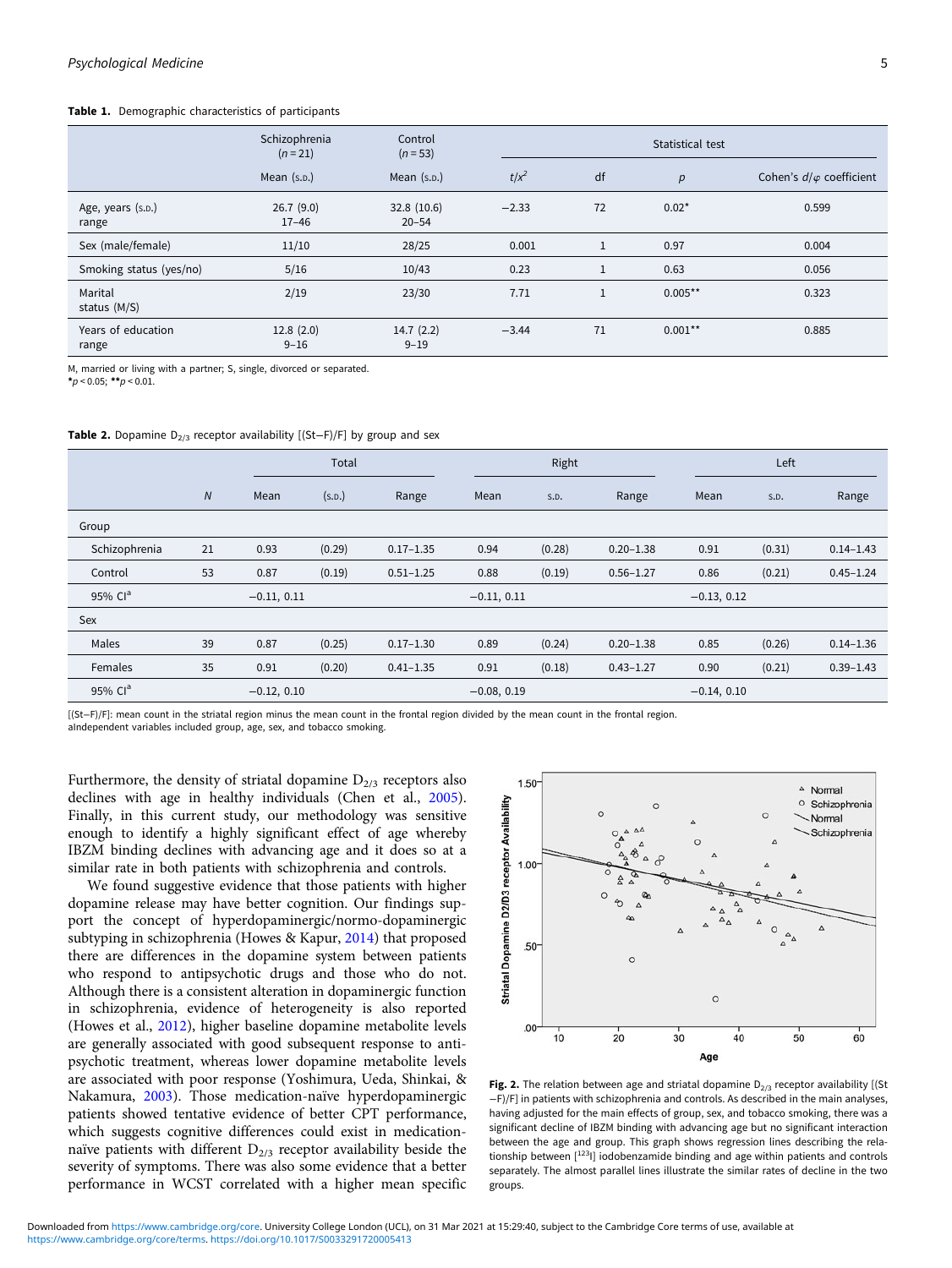#### <span id="page-4-0"></span>Table 1. Demographic characteristics of participants

|                             | Schizophrenia<br>$(n = 21)$ | Control<br>$(n = 53)$   |         |              | Statistical test |                                 |
|-----------------------------|-----------------------------|-------------------------|---------|--------------|------------------|---------------------------------|
|                             | Mean $(s.p.)$               | Mean (s.p.)             | $t/x^2$ | df           | p                | Cohen's $d/\varphi$ coefficient |
| Age, years (s.p.)<br>range  | 26.7(9.0)<br>$17 - 46$      | 32.8(10.6)<br>$20 - 54$ | $-2.33$ | 72           | $0.02*$          | 0.599                           |
| Sex (male/female)           | 11/10                       | 28/25                   | 0.001   | 1            | 0.97             | 0.004                           |
| Smoking status (yes/no)     | 5/16                        | 10/43                   | 0.23    | $\mathbf{1}$ | 0.63             | 0.056                           |
| Marital<br>status (M/S)     | 2/19                        | 23/30                   | 7.71    | $\mathbf{1}$ | $0.005**$        | 0.323                           |
| Years of education<br>range | 12.8(2.0)<br>$9 - 16$       | 14.7(2.2)<br>$9 - 19$   | $-3.44$ | 71           | $0.001**$        | 0.885                           |

M, married or living with a partner; S, single, divorced or separated.

 $*_p$  < 0.05;  $*_p$  < 0.01.

| <b>Table 2.</b> Dopamine $D_{2/3}$ receptor availability [(St-F)/F] by group and sex |  |  |  |
|--------------------------------------------------------------------------------------|--|--|--|
|--------------------------------------------------------------------------------------|--|--|--|

|                     |                |               | Total  |               |               | Right  |               |               | Left   |               |
|---------------------|----------------|---------------|--------|---------------|---------------|--------|---------------|---------------|--------|---------------|
|                     | $\overline{N}$ | Mean          | (s.D.) | Range         | Mean          | S.D.   | Range         | Mean          | S.D.   | Range         |
| Group               |                |               |        |               |               |        |               |               |        |               |
| Schizophrenia       | 21             | 0.93          | (0.29) | $0.17 - 1.35$ | 0.94          | (0.28) | $0.20 - 1.38$ | 0.91          | (0.31) | $0.14 - 1.43$ |
| Control             | 53             | 0.87          | (0.19) | $0.51 - 1.25$ | 0.88          | (0.19) | $0.56 - 1.27$ | 0.86          | (0.21) | $0.45 - 1.24$ |
| 95% Cl <sup>a</sup> |                | $-0.11, 0.11$ |        |               | $-0.11, 0.11$ |        |               | $-0.13, 0.12$ |        |               |
| Sex                 |                |               |        |               |               |        |               |               |        |               |
| Males               | 39             | 0.87          | (0.25) | $0.17 - 1.30$ | 0.89          | (0.24) | $0.20 - 1.38$ | 0.85          | (0.26) | $0.14 - 1.36$ |
| Females             | 35             | 0.91          | (0.20) | $0.41 - 1.35$ | 0.91          | (0.18) | $0.43 - 1.27$ | 0.90          | (0.21) | $0.39 - 1.43$ |
| 95% Cl <sup>a</sup> |                | $-0.12, 0.10$ |        |               | $-0.08, 0.19$ |        |               | $-0.14, 0.10$ |        |               |

[(St−F)/F]: mean count in the striatal region minus the mean count in the frontal region divided by the mean count in the frontal region.

aIndependent variables included group, age, sex, and tobacco smoking.

Furthermore, the density of striatal dopamine  $D_{2/3}$  receptors also declines with age in healthy individuals (Chen et al., [2005\)](#page-6-0). Finally, in this current study, our methodology was sensitive enough to identify a highly significant effect of age whereby IBZM binding declines with advancing age and it does so at a similar rate in both patients with schizophrenia and controls.

We found suggestive evidence that those patients with higher dopamine release may have better cognition. Our findings support the concept of hyperdopaminergic/normo-dopaminergic subtyping in schizophrenia (Howes & Kapur, [2014](#page-7-0)) that proposed there are differences in the dopamine system between patients who respond to antipsychotic drugs and those who do not. Although there is a consistent alteration in dopaminergic function in schizophrenia, evidence of heterogeneity is also reported (Howes et al., [2012\)](#page-7-0), higher baseline dopamine metabolite levels are generally associated with good subsequent response to antipsychotic treatment, whereas lower dopamine metabolite levels are associated with poor response (Yoshimura, Ueda, Shinkai, & Nakamura, [2003](#page-8-0)). Those medication-naïve hyperdopaminergic patients showed tentative evidence of better CPT performance, which suggests cognitive differences could exist in medicationnaïve patients with different  $D_{2/3}$  receptor availability beside the severity of symptoms. There was also some evidence that a better performance in WCST correlated with a higher mean specific



Fig. 2. The relation between age and striatal dopamine  $D_{2/3}$  receptor availability [(St −F)/F] in patients with schizophrenia and controls. As described in the main analyses, having adjusted for the main effects of group, sex, and tobacco smoking, there was a significant decline of IBZM binding with advancing age but no significant interaction between the age and group. This graph shows regression lines describing the relationship between [123] iodobenzamide binding and age within patients and controls separately. The almost parallel lines illustrate the similar rates of decline in the two groups.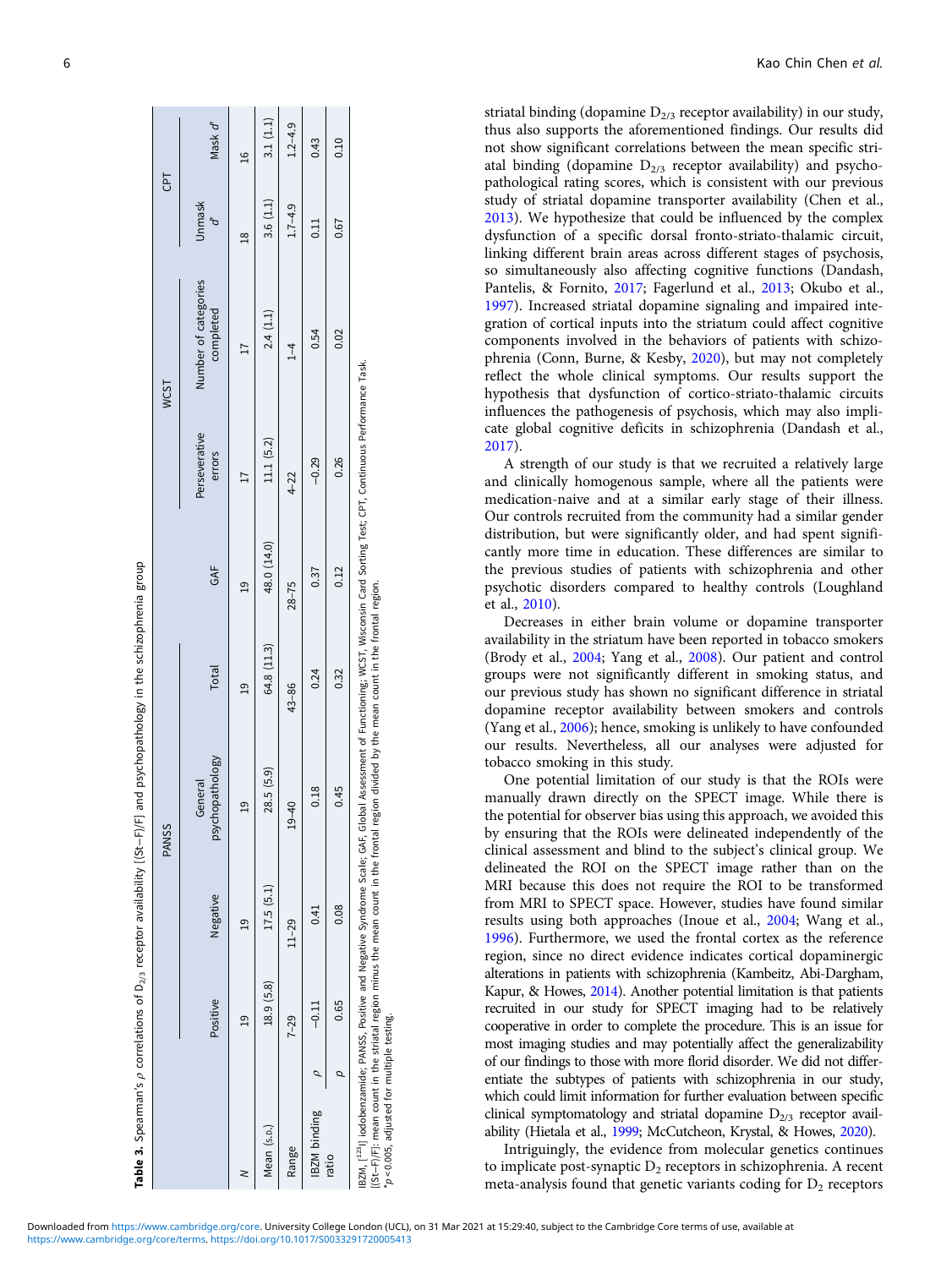|                                                 |                |           | <b>PANSS</b>                                                                                                                                                                                                                                                                                                                                   |                 |                 |                         | WCST                              | CPT            |               |
|-------------------------------------------------|----------------|-----------|------------------------------------------------------------------------------------------------------------------------------------------------------------------------------------------------------------------------------------------------------------------------------------------------------------------------------------------------|-----------------|-----------------|-------------------------|-----------------------------------|----------------|---------------|
|                                                 | Positive       | Negative  | psychopathology<br>General                                                                                                                                                                                                                                                                                                                     | Total           | GAF             | Perseverative<br>errors | Number of categories<br>completed | <b>Unmask</b>  | Mask d'       |
|                                                 | $\overline{a}$ | ഉ         | $\overline{a}$                                                                                                                                                                                                                                                                                                                                 | $\overline{19}$ | $\overline{19}$ |                         |                                   | $\frac{8}{18}$ | $\frac{6}{1}$ |
| Mean (s.p.)                                     | 18.9 (5.8)     | 17.5(5.1) | 28.5 (5.9)                                                                                                                                                                                                                                                                                                                                     | 64.8 (11.3)     | 48.0 (14.0)     | 11.1 (5.2)              | 2.4(1.1)                          | 3.6(1.1)       | 3.1(1.1)      |
| Range                                           | $7 - 29$       | $11 - 29$ | $\frac{40}{5}$<br>ఇ                                                                                                                                                                                                                                                                                                                            | 43-86           | $28 - 75$       | $4 - 22$                | $^{1-4}$                          | $1.7 - 4.9$    | $1.2 - 4.9$   |
| IBZM binding                                    | $-0.11$        | 0.41      | 0.18                                                                                                                                                                                                                                                                                                                                           | 0.24            | 0.37            | $-0.29$                 | 0.54                              | 0.11           | 0.43          |
| ratio                                           | 0.65           | 0.08      | 0.45                                                                                                                                                                                                                                                                                                                                           | 0.32            | 0.12            | 0.26                    | 0.02                              | 0.67           | 0.10          |
| $*_{D}$ < 0.005, adjusted for multiple testing. |                |           | IBZM, [ <sup>123</sup> 1] iodobenzamide; PANSS, Positive and Negative Syndrome Scale; GAF, Global Assessment of Functioning; WCST, Wisconsin Card Sorting Test; CPT, Continuous Performance Task.<br>[(St-F)/F]: mean count in the striatal region minus the mean count in the frontal region divided by the mean count in the frontal region. |                 |                 |                         |                                   |                |               |

<span id="page-5-0"></span>**6** Kao Chin Chen et al.

striatal binding (dopamine  $D_{2/3}$  receptor availability) in our study, thus also supports the aforementioned findings. Our results did not show significant correlations between the mean specific striatal binding (dopamine  $D_{2/3}$  receptor availability) and psychopathological rating scores, which is consistent with our previous study of striatal dopamine transporter availability (Chen et al., [2013\)](#page-6-0). We hypothesize that could be influenced by the complex dysfunction of a specific dorsal fronto-striato-thalamic circuit, linking different brain areas across different stages of psychosis, so simultaneously also affecting cognitive functions (Dandash, Pantelis, & Fornito, [2017;](#page-6-0) Fagerlund et al., [2013;](#page-7-0) Okubo et al., [1997\)](#page-7-0). Increased striatal dopamine signaling and impaired integration of cortical inputs into the striatum could affect cognitive components involved in the behaviors of patients with schizophrenia (Conn, Burne, & Kesby, [2020\)](#page-6-0), but may not completely reflect the whole clinical symptoms. Our results support the hypothesis that dysfunction of cortico-striato-thalamic circuits influences the pathogenesis of psychosis, which may also implicate global cognitive deficits in schizophrenia (Dandash et al., [2017\)](#page-6-0).

A strength of our study is that we recruited a relatively large and clinically homogenous sample, where all the patients were medication-naive and at a similar early stage of their illness. Our controls recruited from the community had a similar gender distribution, but were significantly older, and had spent significantly more time in education. These differences are similar to the previous studies of patients with schizophrenia and other psychotic disorders compared to healthy controls (Loughland et al., [2010](#page-7-0)).

Decreases in either brain volume or dopamine transporter availability in the striatum have been reported in tobacco smokers (Brody et al., [2004](#page-6-0); Yang et al., [2008](#page-8-0)). Our patient and control groups were not significantly different in smoking status, and our previous study has shown no significant difference in striatal dopamine receptor availability between smokers and controls (Yang et al., [2006\)](#page-8-0); hence, smoking is unlikely to have confounded our results. Nevertheless, all our analyses were adjusted for tobacco smoking in this study.

One potential limitation of our study is that the ROIs were manually drawn directly on the SPECT image. While there is the potential for observer bias using this approach, we avoided this by ensuring that the ROIs were delineated independently of the clinical assessment and blind to the subject's clinical group. We delineated the ROI on the SPECT image rather than on the MRI because this does not require the ROI to be transformed from MRI to SPECT space. However, studies have found similar results using both approaches (Inoue et al., [2004](#page-7-0); Wang et al., [1996\)](#page-8-0). Furthermore, we used the frontal cortex as the reference region, since no direct evidence indicates cortical dopaminergic alterations in patients with schizophrenia (Kambeitz, Abi-Dargham, Kapur, & Howes, [2014\)](#page-7-0). Another potential limitation is that patients recruited in our study for SPECT imaging had to be relatively cooperative in order to complete the procedure. This is an issue for most imaging studies and may potentially affect the generalizability of our findings to those with more florid disorder. We did not differentiate the subtypes of patients with schizophrenia in our study, which could limit information for further evaluation between specific clinical symptomatology and striatal dopamine  $D_{2/3}$  receptor availability (Hietala et al., [1999;](#page-7-0) McCutcheon, Krystal, & Howes, [2020](#page-7-0)).

Intriguingly, the evidence from molecular genetics continues to implicate post-synaptic  $D_2$  receptors in schizophrenia. A recent meta-analysis found that genetic variants coding for  $D_2$  receptors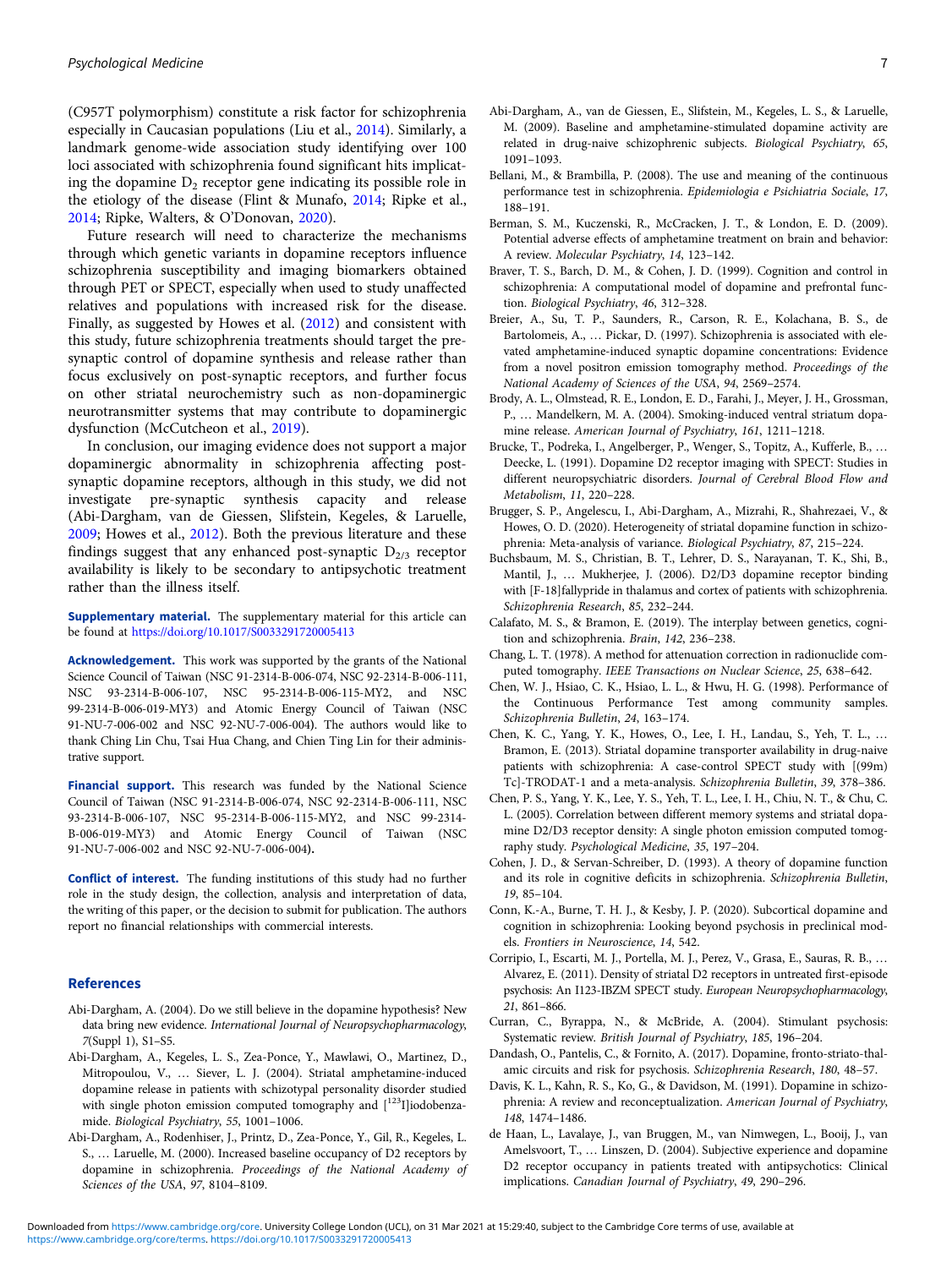<span id="page-6-0"></span>(C957T polymorphism) constitute a risk factor for schizophrenia especially in Caucasian populations (Liu et al., [2014](#page-7-0)). Similarly, a landmark genome-wide association study identifying over 100 loci associated with schizophrenia found significant hits implicating the dopamine  $D_2$  receptor gene indicating its possible role in the etiology of the disease (Flint & Munafo, [2014](#page-7-0); Ripke et al., [2014;](#page-7-0) Ripke, Walters, & O'Donovan, [2020](#page-8-0)).

Future research will need to characterize the mechanisms through which genetic variants in dopamine receptors influence schizophrenia susceptibility and imaging biomarkers obtained through PET or SPECT, especially when used to study unaffected relatives and populations with increased risk for the disease. Finally, as suggested by Howes et al. [\(2012](#page-7-0)) and consistent with this study, future schizophrenia treatments should target the presynaptic control of dopamine synthesis and release rather than focus exclusively on post-synaptic receptors, and further focus on other striatal neurochemistry such as non-dopaminergic neurotransmitter systems that may contribute to dopaminergic dysfunction (McCutcheon et al., [2019](#page-7-0)).

In conclusion, our imaging evidence does not support a major dopaminergic abnormality in schizophrenia affecting postsynaptic dopamine receptors, although in this study, we did not investigate pre-synaptic synthesis capacity and release (Abi-Dargham, van de Giessen, Slifstein, Kegeles, & Laruelle, 2009; Howes et al., [2012](#page-7-0)). Both the previous literature and these findings suggest that any enhanced post-synaptic  $D_{2/3}$  receptor availability is likely to be secondary to antipsychotic treatment rather than the illness itself.

Supplementary material. The supplementary material for this article can be found at <https://doi.org/10.1017/S0033291720005413>

Acknowledgement. This work was supported by the grants of the National Science Council of Taiwan (NSC 91-2314-B-006-074, NSC 92-2314-B-006-111, NSC 93-2314-B-006-107, NSC 95-2314-B-006-115-MY2, and NSC 99-2314-B-006-019-MY3) and Atomic Energy Council of Taiwan (NSC 91-NU-7-006-002 and NSC 92-NU-7-006-004). The authors would like to thank Ching Lin Chu, Tsai Hua Chang, and Chien Ting Lin for their administrative support.

Financial support. This research was funded by the National Science Council of Taiwan (NSC 91-2314-B-006-074, NSC 92-2314-B-006-111, NSC 93-2314-B-006-107, NSC 95-2314-B-006-115-MY2, and NSC 99-2314- B-006-019-MY3) and Atomic Energy Council of Taiwan (NSC 91-NU-7-006-002 and NSC 92-NU-7-006-004).

Conflict of interest. The funding institutions of this study had no further role in the study design, the collection, analysis and interpretation of data, the writing of this paper, or the decision to submit for publication. The authors report no financial relationships with commercial interests.

#### References

- Abi-Dargham, A. (2004). Do we still believe in the dopamine hypothesis? New data bring new evidence. International Journal of Neuropsychopharmacology, 7(Suppl 1), S1–S5.
- Abi-Dargham, A., Kegeles, L. S., Zea-Ponce, Y., Mawlawi, O., Martinez, D., Mitropoulou, V., … Siever, L. J. (2004). Striatal amphetamine-induced dopamine release in patients with schizotypal personality disorder studied with single photon emission computed tomography and  $\rm [^{123}I]iodobenza$ mide. Biological Psychiatry, 55, 1001–1006.
- Abi-Dargham, A., Rodenhiser, J., Printz, D., Zea-Ponce, Y., Gil, R., Kegeles, L. S., … Laruelle, M. (2000). Increased baseline occupancy of D2 receptors by dopamine in schizophrenia. Proceedings of the National Academy of Sciences of the USA, 97, 8104–8109.
- Abi-Dargham, A., van de Giessen, E., Slifstein, M., Kegeles, L. S., & Laruelle, M. (2009). Baseline and amphetamine-stimulated dopamine activity are related in drug-naive schizophrenic subjects. Biological Psychiatry, 65, 1091–1093.
- Bellani, M., & Brambilla, P. (2008). The use and meaning of the continuous performance test in schizophrenia. Epidemiologia e Psichiatria Sociale, 17, 188–191.
- Berman, S. M., Kuczenski, R., McCracken, J. T., & London, E. D. (2009). Potential adverse effects of amphetamine treatment on brain and behavior: A review. Molecular Psychiatry, 14, 123–142.
- Braver, T. S., Barch, D. M., & Cohen, J. D. (1999). Cognition and control in schizophrenia: A computational model of dopamine and prefrontal function. Biological Psychiatry, 46, 312–328.
- Breier, A., Su, T. P., Saunders, R., Carson, R. E., Kolachana, B. S., de Bartolomeis, A., … Pickar, D. (1997). Schizophrenia is associated with elevated amphetamine-induced synaptic dopamine concentrations: Evidence from a novel positron emission tomography method. Proceedings of the National Academy of Sciences of the USA, 94, 2569–2574.
- Brody, A. L., Olmstead, R. E., London, E. D., Farahi, J., Meyer, J. H., Grossman, P., … Mandelkern, M. A. (2004). Smoking-induced ventral striatum dopamine release. American Journal of Psychiatry, 161, 1211–1218.
- Brucke, T., Podreka, I., Angelberger, P., Wenger, S., Topitz, A., Kufferle, B., … Deecke, L. (1991). Dopamine D2 receptor imaging with SPECT: Studies in different neuropsychiatric disorders. Journal of Cerebral Blood Flow and Metabolism, 11, 220–228.
- Brugger, S. P., Angelescu, I., Abi-Dargham, A., Mizrahi, R., Shahrezaei, V., & Howes, O. D. (2020). Heterogeneity of striatal dopamine function in schizophrenia: Meta-analysis of variance. Biological Psychiatry, 87, 215–224.
- Buchsbaum, M. S., Christian, B. T., Lehrer, D. S., Narayanan, T. K., Shi, B., Mantil, J., … Mukherjee, J. (2006). D2/D3 dopamine receptor binding with [F-18]fallypride in thalamus and cortex of patients with schizophrenia. Schizophrenia Research, 85, 232–244.
- Calafato, M. S., & Bramon, E. (2019). The interplay between genetics, cognition and schizophrenia. Brain, 142, 236–238.
- Chang, L. T. (1978). A method for attenuation correction in radionuclide computed tomography. IEEE Transactions on Nuclear Science, 25, 638–642.
- Chen, W. J., Hsiao, C. K., Hsiao, L. L., & Hwu, H. G. (1998). Performance of the Continuous Performance Test among community samples. Schizophrenia Bulletin, 24, 163–174.
- Chen, K. C., Yang, Y. K., Howes, O., Lee, I. H., Landau, S., Yeh, T. L., … Bramon, E. (2013). Striatal dopamine transporter availability in drug-naive patients with schizophrenia: A case-control SPECT study with [(99m) Tc]-TRODAT-1 and a meta-analysis. Schizophrenia Bulletin, 39, 378–386.
- Chen, P. S., Yang, Y. K., Lee, Y. S., Yeh, T. L., Lee, I. H., Chiu, N. T., & Chu, C. L. (2005). Correlation between different memory systems and striatal dopamine D2/D3 receptor density: A single photon emission computed tomography study. Psychological Medicine, 35, 197–204.
- Cohen, J. D., & Servan-Schreiber, D. (1993). A theory of dopamine function and its role in cognitive deficits in schizophrenia. Schizophrenia Bulletin, 19, 85–104.
- Conn, K.-A., Burne, T. H. J., & Kesby, J. P. (2020). Subcortical dopamine and cognition in schizophrenia: Looking beyond psychosis in preclinical models. Frontiers in Neuroscience, 14, 542.
- Corripio, I., Escarti, M. J., Portella, M. J., Perez, V., Grasa, E., Sauras, R. B., … Alvarez, E. (2011). Density of striatal D2 receptors in untreated first-episode psychosis: An I123-IBZM SPECT study. European Neuropsychopharmacology, 21, 861–866.
- Curran, C., Byrappa, N., & McBride, A. (2004). Stimulant psychosis: Systematic review. British Journal of Psychiatry, 185, 196–204.
- Dandash, O., Pantelis, C., & Fornito, A. (2017). Dopamine, fronto-striato-thalamic circuits and risk for psychosis. Schizophrenia Research, 180, 48–57.
- Davis, K. L., Kahn, R. S., Ko, G., & Davidson, M. (1991). Dopamine in schizophrenia: A review and reconceptualization. American Journal of Psychiatry, 148, 1474–1486.
- de Haan, L., Lavalaye, J., van Bruggen, M., van Nimwegen, L., Booij, J., van Amelsvoort, T., … Linszen, D. (2004). Subjective experience and dopamine D2 receptor occupancy in patients treated with antipsychotics: Clinical implications. Canadian Journal of Psychiatry, 49, 290–296.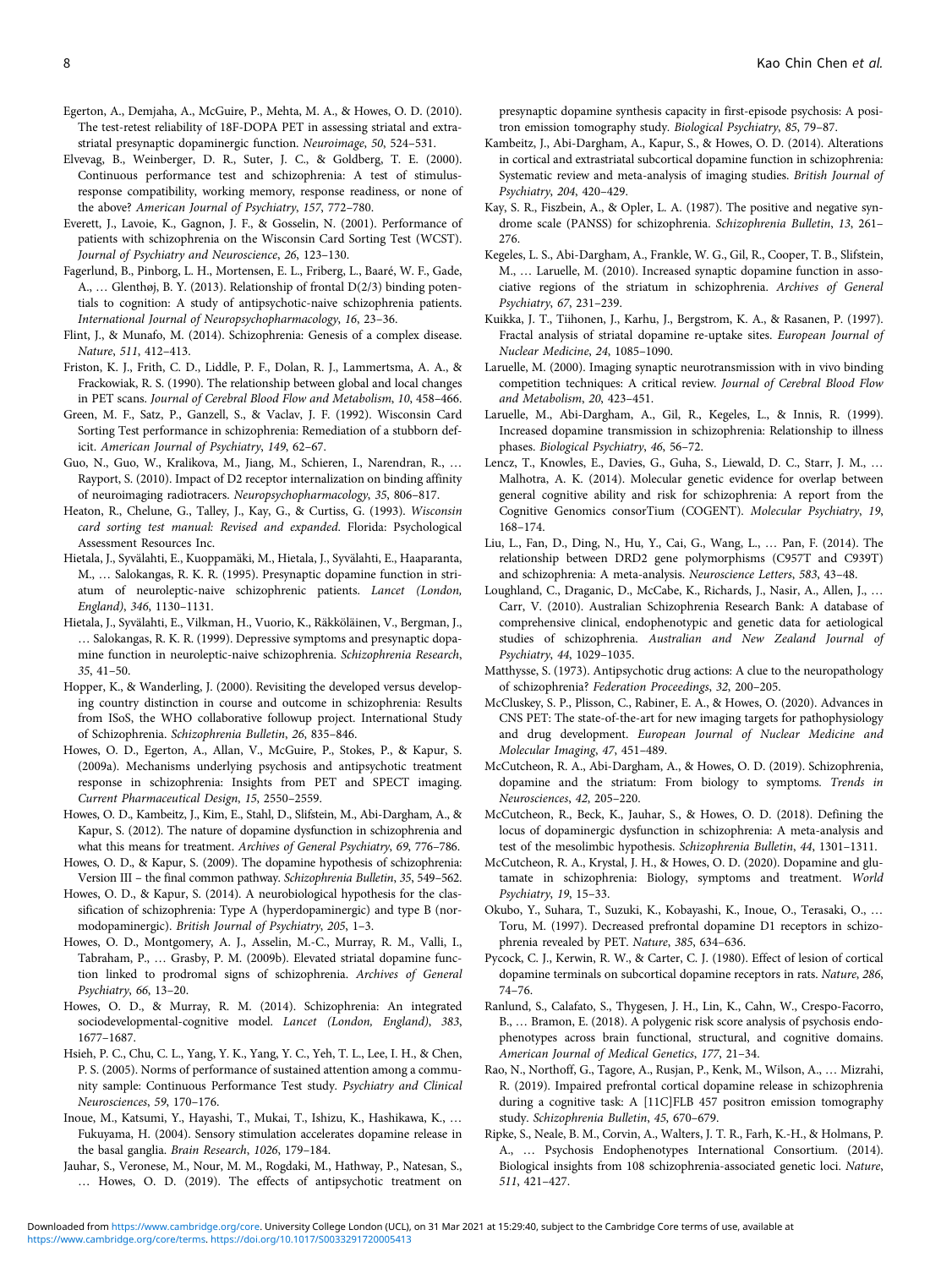- <span id="page-7-0"></span>Egerton, A., Demjaha, A., McGuire, P., Mehta, M. A., & Howes, O. D. (2010). The test-retest reliability of 18F-DOPA PET in assessing striatal and extrastriatal presynaptic dopaminergic function. Neuroimage, 50, 524–531.
- Elvevag, B., Weinberger, D. R., Suter, J. C., & Goldberg, T. E. (2000). Continuous performance test and schizophrenia: A test of stimulusresponse compatibility, working memory, response readiness, or none of the above? American Journal of Psychiatry, 157, 772–780.
- Everett, J., Lavoie, K., Gagnon, J. F., & Gosselin, N. (2001). Performance of patients with schizophrenia on the Wisconsin Card Sorting Test (WCST). Journal of Psychiatry and Neuroscience, 26, 123–130.
- Fagerlund, B., Pinborg, L. H., Mortensen, E. L., Friberg, L., Baaré, W. F., Gade, A., … Glenthøj, B. Y. (2013). Relationship of frontal D(2/3) binding potentials to cognition: A study of antipsychotic-naive schizophrenia patients. International Journal of Neuropsychopharmacology, 16, 23–36.
- Flint, J., & Munafo, M. (2014). Schizophrenia: Genesis of a complex disease. Nature, 511, 412–413.
- Friston, K. J., Frith, C. D., Liddle, P. F., Dolan, R. J., Lammertsma, A. A., & Frackowiak, R. S. (1990). The relationship between global and local changes in PET scans. Journal of Cerebral Blood Flow and Metabolism, 10, 458–466.
- Green, M. F., Satz, P., Ganzell, S., & Vaclav, J. F. (1992). Wisconsin Card Sorting Test performance in schizophrenia: Remediation of a stubborn deficit. American Journal of Psychiatry, 149, 62–67.
- Guo, N., Guo, W., Kralikova, M., Jiang, M., Schieren, I., Narendran, R., … Rayport, S. (2010). Impact of D2 receptor internalization on binding affinity of neuroimaging radiotracers. Neuropsychopharmacology, 35, 806–817.
- Heaton, R., Chelune, G., Talley, J., Kay, G., & Curtiss, G. (1993). Wisconsin card sorting test manual: Revised and expanded. Florida: Psychological Assessment Resources Inc.
- Hietala, J., Syvälahti, E., Kuoppamäki, M., Hietala, J., Syvälahti, E., Haaparanta, M., … Salokangas, R. K. R. (1995). Presynaptic dopamine function in striatum of neuroleptic-naive schizophrenic patients. Lancet (London, England), 346, 1130–1131.
- Hietala, J., Syvälahti, E., Vilkman, H., Vuorio, K., Räkköläinen, V., Bergman, J., … Salokangas, R. K. R. (1999). Depressive symptoms and presynaptic dopamine function in neuroleptic-naive schizophrenia. Schizophrenia Research, 35, 41–50.
- Hopper, K., & Wanderling, J. (2000). Revisiting the developed versus developing country distinction in course and outcome in schizophrenia: Results from ISoS, the WHO collaborative followup project. International Study of Schizophrenia. Schizophrenia Bulletin, 26, 835–846.
- Howes, O. D., Egerton, A., Allan, V., McGuire, P., Stokes, P., & Kapur, S. (2009a). Mechanisms underlying psychosis and antipsychotic treatment response in schizophrenia: Insights from PET and SPECT imaging. Current Pharmaceutical Design, 15, 2550–2559.
- Howes, O. D., Kambeitz, J., Kim, E., Stahl, D., Slifstein, M., Abi-Dargham, A., & Kapur, S. (2012). The nature of dopamine dysfunction in schizophrenia and what this means for treatment. Archives of General Psychiatry, 69, 776–786.
- Howes, O. D., & Kapur, S. (2009). The dopamine hypothesis of schizophrenia: Version III – the final common pathway. Schizophrenia Bulletin, 35, 549–562.
- Howes, O. D., & Kapur, S. (2014). A neurobiological hypothesis for the classification of schizophrenia: Type A (hyperdopaminergic) and type B (normodopaminergic). British Journal of Psychiatry, 205, 1–3.
- Howes, O. D., Montgomery, A. J., Asselin, M.-C., Murray, R. M., Valli, I., Tabraham, P., … Grasby, P. M. (2009b). Elevated striatal dopamine function linked to prodromal signs of schizophrenia. Archives of General Psychiatry, 66, 13–20.
- Howes, O. D., & Murray, R. M. (2014). Schizophrenia: An integrated sociodevelopmental-cognitive model. Lancet (London, England), 383, 1677–1687.
- Hsieh, P. C., Chu, C. L., Yang, Y. K., Yang, Y. C., Yeh, T. L., Lee, I. H., & Chen, P. S. (2005). Norms of performance of sustained attention among a community sample: Continuous Performance Test study. Psychiatry and Clinical Neurosciences, 59, 170–176.
- Inoue, M., Katsumi, Y., Hayashi, T., Mukai, T., Ishizu, K., Hashikawa, K., … Fukuyama, H. (2004). Sensory stimulation accelerates dopamine release in the basal ganglia. Brain Research, 1026, 179–184.
- Jauhar, S., Veronese, M., Nour, M. M., Rogdaki, M., Hathway, P., Natesan, S., … Howes, O. D. (2019). The effects of antipsychotic treatment on

presynaptic dopamine synthesis capacity in first-episode psychosis: A positron emission tomography study. Biological Psychiatry, 85, 79–87.

- Kambeitz, J., Abi-Dargham, A., Kapur, S., & Howes, O. D. (2014). Alterations in cortical and extrastriatal subcortical dopamine function in schizophrenia: Systematic review and meta-analysis of imaging studies. British Journal of Psychiatry, 204, 420–429.
- Kay, S. R., Fiszbein, A., & Opler, L. A. (1987). The positive and negative syndrome scale (PANSS) for schizophrenia. Schizophrenia Bulletin, 13, 261– 276.
- Kegeles, L. S., Abi-Dargham, A., Frankle, W. G., Gil, R., Cooper, T. B., Slifstein, M., … Laruelle, M. (2010). Increased synaptic dopamine function in associative regions of the striatum in schizophrenia. Archives of General Psychiatry, 67, 231–239.
- Kuikka, J. T., Tiihonen, J., Karhu, J., Bergstrom, K. A., & Rasanen, P. (1997). Fractal analysis of striatal dopamine re-uptake sites. European Journal of Nuclear Medicine, 24, 1085–1090.
- Laruelle, M. (2000). Imaging synaptic neurotransmission with in vivo binding competition techniques: A critical review. Journal of Cerebral Blood Flow and Metabolism, 20, 423–451.
- Laruelle, M., Abi-Dargham, A., Gil, R., Kegeles, L., & Innis, R. (1999). Increased dopamine transmission in schizophrenia: Relationship to illness phases. Biological Psychiatry, 46, 56–72.
- Lencz, T., Knowles, E., Davies, G., Guha, S., Liewald, D. C., Starr, J. M., … Malhotra, A. K. (2014). Molecular genetic evidence for overlap between general cognitive ability and risk for schizophrenia: A report from the Cognitive Genomics consorTium (COGENT). Molecular Psychiatry, 19, 168–174.
- Liu, L., Fan, D., Ding, N., Hu, Y., Cai, G., Wang, L., … Pan, F. (2014). The relationship between DRD2 gene polymorphisms (C957T and C939T) and schizophrenia: A meta-analysis. Neuroscience Letters, 583, 43–48.
- Loughland, C., Draganic, D., McCabe, K., Richards, J., Nasir, A., Allen, J., … Carr, V. (2010). Australian Schizophrenia Research Bank: A database of comprehensive clinical, endophenotypic and genetic data for aetiological studies of schizophrenia. Australian and New Zealand Journal of Psychiatry, 44, 1029–1035.
- Matthysse, S. (1973). Antipsychotic drug actions: A clue to the neuropathology of schizophrenia? Federation Proceedings, 32, 200–205.
- McCluskey, S. P., Plisson, C., Rabiner, E. A., & Howes, O. (2020). Advances in CNS PET: The state-of-the-art for new imaging targets for pathophysiology and drug development. European Journal of Nuclear Medicine and Molecular Imaging, 47, 451–489.
- McCutcheon, R. A., Abi-Dargham, A., & Howes, O. D. (2019). Schizophrenia, dopamine and the striatum: From biology to symptoms. Trends in Neurosciences, 42, 205–220.
- McCutcheon, R., Beck, K., Jauhar, S., & Howes, O. D. (2018). Defining the locus of dopaminergic dysfunction in schizophrenia: A meta-analysis and test of the mesolimbic hypothesis. Schizophrenia Bulletin, 44, 1301–1311.
- McCutcheon, R. A., Krystal, J. H., & Howes, O. D. (2020). Dopamine and glutamate in schizophrenia: Biology, symptoms and treatment. World Psychiatry, 19, 15–33.
- Okubo, Y., Suhara, T., Suzuki, K., Kobayashi, K., Inoue, O., Terasaki, O., … Toru, M. (1997). Decreased prefrontal dopamine D1 receptors in schizophrenia revealed by PET. Nature, 385, 634–636.
- Pycock, C. J., Kerwin, R. W., & Carter, C. J. (1980). Effect of lesion of cortical dopamine terminals on subcortical dopamine receptors in rats. Nature, 286, 74–76.
- Ranlund, S., Calafato, S., Thygesen, J. H., Lin, K., Cahn, W., Crespo-Facorro, B., … Bramon, E. (2018). A polygenic risk score analysis of psychosis endophenotypes across brain functional, structural, and cognitive domains. American Journal of Medical Genetics, 177, 21–34.
- Rao, N., Northoff, G., Tagore, A., Rusjan, P., Kenk, M., Wilson, A., … Mizrahi, R. (2019). Impaired prefrontal cortical dopamine release in schizophrenia during a cognitive task: A [11C]FLB 457 positron emission tomography study. Schizophrenia Bulletin, 45, 670–679.
- Ripke, S., Neale, B. M., Corvin, A., Walters, J. T. R., Farh, K.-H., & Holmans, P. A., … Psychosis Endophenotypes International Consortium. (2014). Biological insights from 108 schizophrenia-associated genetic loci. Nature, 511, 421–427.